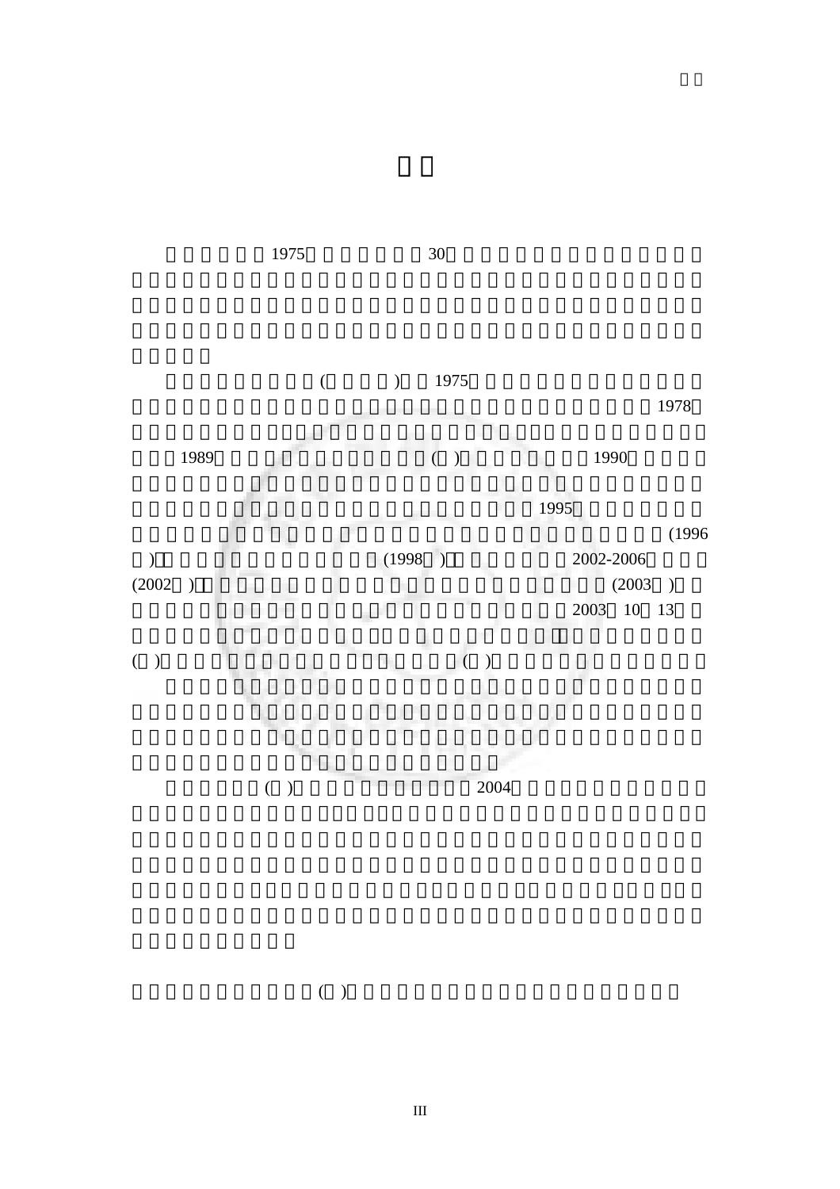

中共與歐盟自1975年建交至今已滿30年,兩者已建立成熟的合作夥伴關

 $\left( \begin{array}{c} \end{array} \right)$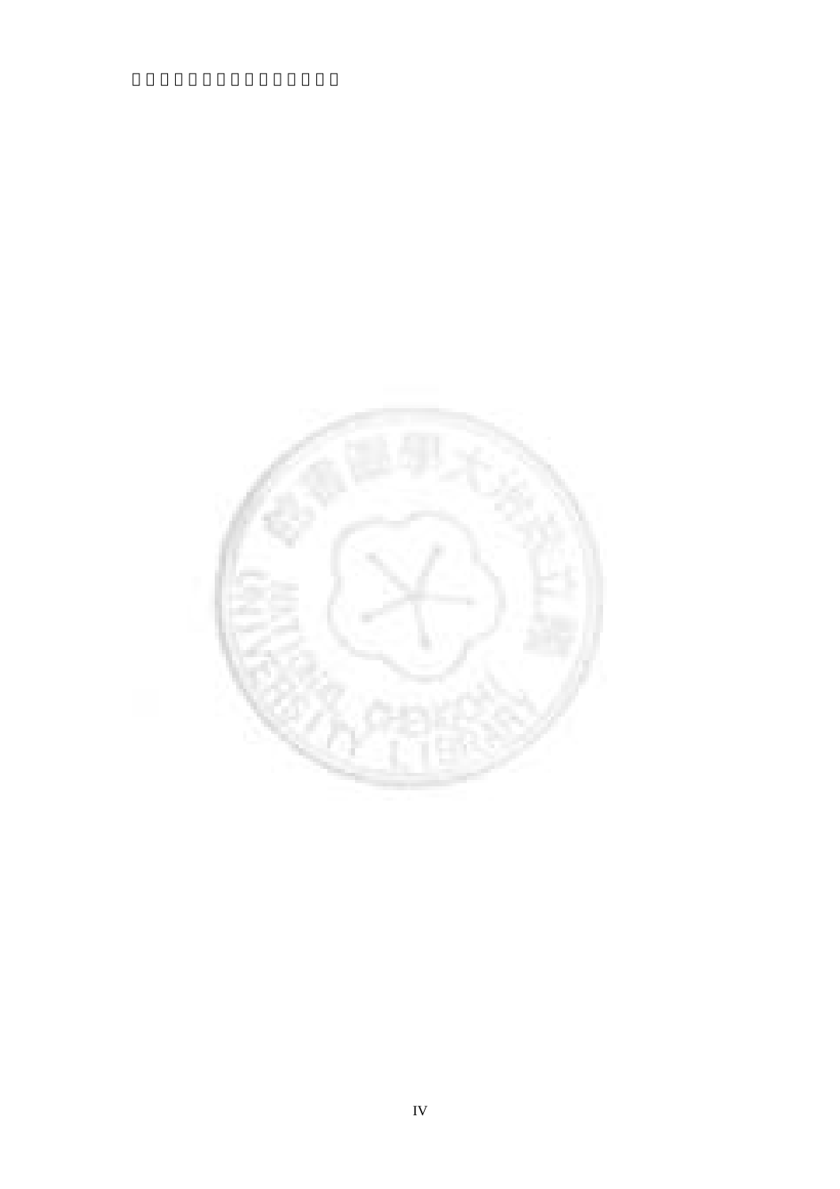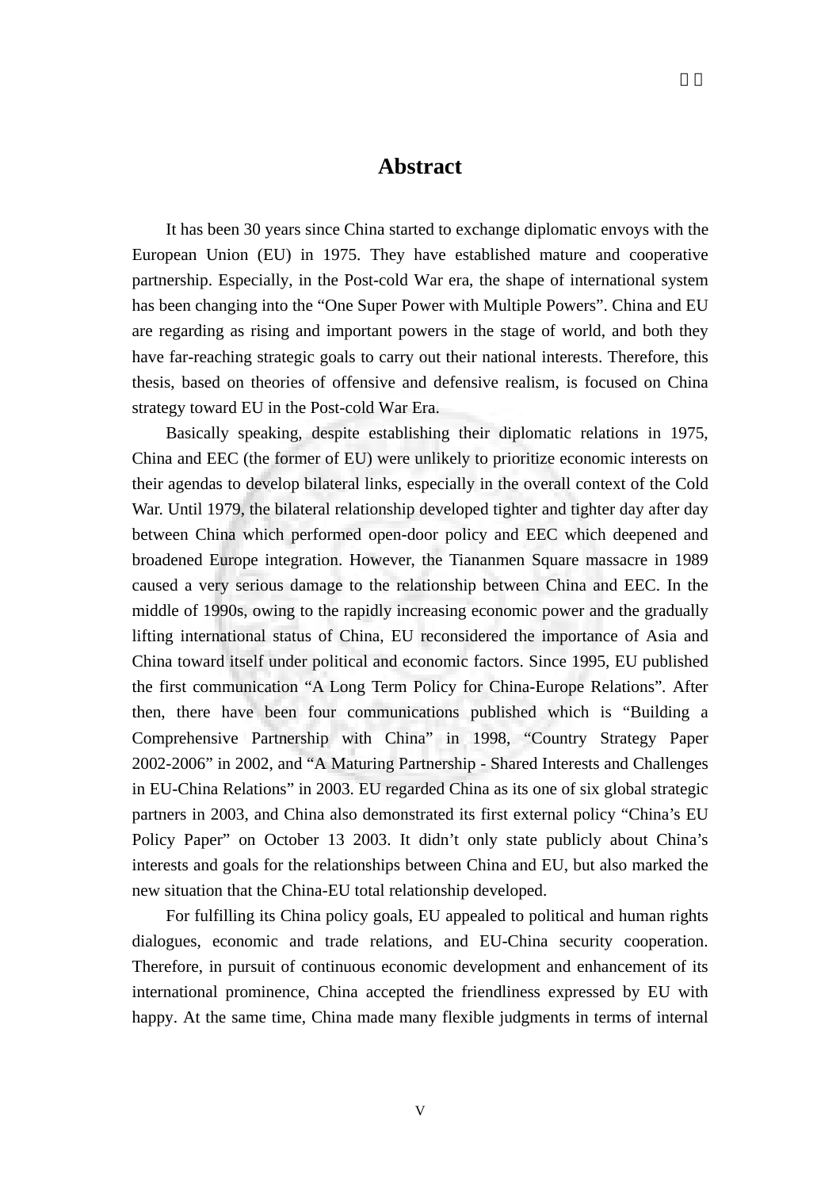## **Abstract**

It has been 30 years since China started to exchange diplomatic envoys with the European Union (EU) in 1975. They have established mature and cooperative partnership. Especially, in the Post-cold War era, the shape of international system has been changing into the "One Super Power with Multiple Powers". China and EU are regarding as rising and important powers in the stage of world, and both they have far-reaching strategic goals to carry out their national interests. Therefore, this thesis, based on theories of offensive and defensive realism, is focused on China strategy toward EU in the Post-cold War Era.

Basically speaking, despite establishing their diplomatic relations in 1975, China and EEC (the former of EU) were unlikely to prioritize economic interests on their agendas to develop bilateral links, especially in the overall context of the Cold War. Until 1979, the bilateral relationship developed tighter and tighter day after day between China which performed open-door policy and EEC which deepened and broadened Europe integration. However, the Tiananmen Square massacre in 1989 caused a very serious damage to the relationship between China and EEC. In the middle of 1990s, owing to the rapidly increasing economic power and the gradually lifting international status of China, EU reconsidered the importance of Asia and China toward itself under political and economic factors. Since 1995, EU published the first communication "A Long Term Policy for China-Europe Relations"*.* After then, there have been four communications published which is "Building a Comprehensive Partnership with China" in 1998, "Country Strategy Paper 2002-2006" in 2002, and "A Maturing Partnership - Shared Interests and Challenges in EU-China Relations" in 2003. EU regarded China as its one of six global strategic partners in 2003, and China also demonstrated its first external policy "China's EU Policy Paper" on October 13 2003. It didn't only state publicly about China's interests and goals for the relationships between China and EU, but also marked the new situation that the China-EU total relationship developed.

For fulfilling its China policy goals, EU appealed to political and human rights dialogues, economic and trade relations, and EU-China security cooperation. Therefore, in pursuit of continuous economic development and enhancement of its international prominence, China accepted the friendliness expressed by EU with happy. At the same time, China made many flexible judgments in terms of internal